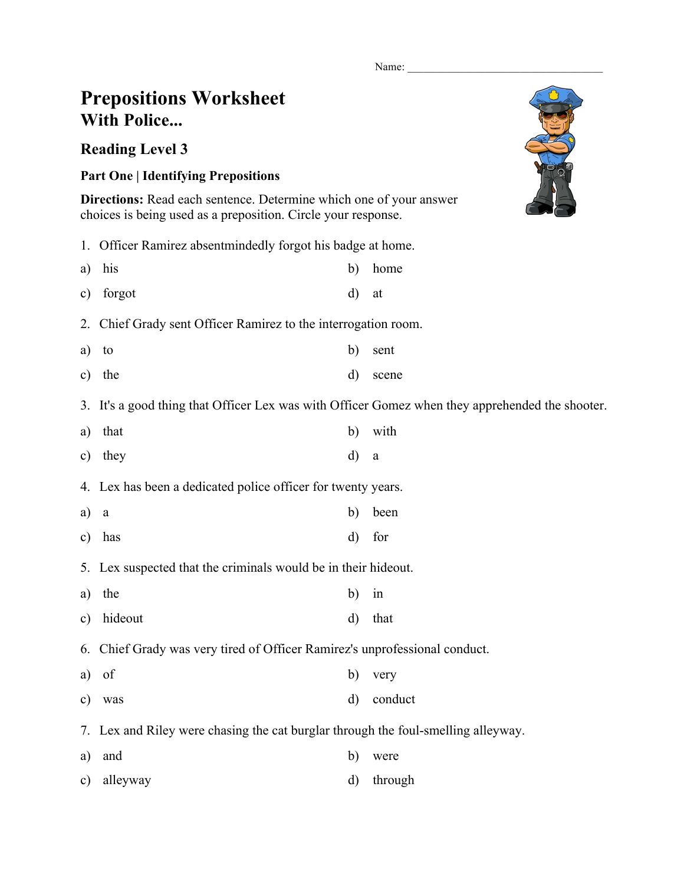Name:

## **Prepositions Worksheet With Police...**

## **Reading Level 3**

## **Part One | Identifying Prepositions**

**Directions:** Read each sentence. Determine which one of your answer choices is being used as a preposition. Circle your response.

1. Officer Ramirez absentmindedly forgot his badge at home.

| a) his    |       | b) home |
|-----------|-------|---------|
| c) forgot | d) at |         |

2. Chief Grady sent Officer Ramirez to the interrogation room.

- a) to b) sent
- c) the d) scene

3. It's a good thing that Officer Lex was with Officer Gomez when they apprehended the shooter.

a) that b) with c) they d) a

4. Lex has been a dedicated police officer for twenty years.

- a) a b) been
- c) has d) for
- 5. Lex suspected that the criminals would be in their hideout.
- a) the b) in
- c) hideout d) that

6. Chief Grady was very tired of Officer Ramirez's unprofessional conduct.

- a) of b) very
- c) was d) conduct
- 7. Lex and Riley were chasing the cat burglar through the foul-smelling alleyway.
- a) and b) were
- c) alleyway d) through

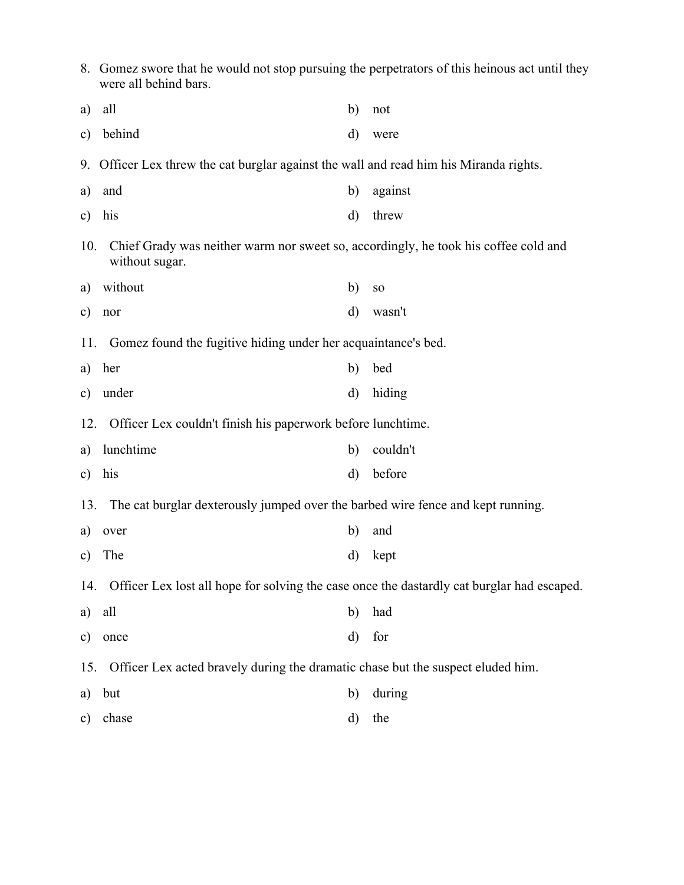|               | 8. Gomez swore that he would not stop pursuing the perpetrators of this heinous act until they<br>were all behind bars. |              |                 |  |  |  |  |
|---------------|-------------------------------------------------------------------------------------------------------------------------|--------------|-----------------|--|--|--|--|
| a)            | all                                                                                                                     | b)           | not             |  |  |  |  |
| c)            | behind                                                                                                                  | $\mathbf{d}$ | were            |  |  |  |  |
|               | 9. Officer Lex threw the cat burglar against the wall and read him his Miranda rights.                                  |              |                 |  |  |  |  |
| a)            | and                                                                                                                     | b)           | against         |  |  |  |  |
| c)            | his                                                                                                                     | d)           | threw           |  |  |  |  |
| 10.           | Chief Grady was neither warm nor sweet so, accordingly, he took his coffee cold and<br>without sugar.                   |              |                 |  |  |  |  |
| a)            | without                                                                                                                 | b)           | SO <sub>1</sub> |  |  |  |  |
| c)            | nor                                                                                                                     | $\mathbf{d}$ | wasn't          |  |  |  |  |
|               | Gomez found the fugitive hiding under her acquaintance's bed.<br>11.                                                    |              |                 |  |  |  |  |
| a)            | her                                                                                                                     | b)           | bed             |  |  |  |  |
| c)            | under                                                                                                                   | $\mathbf{d}$ | hiding          |  |  |  |  |
| 12.           | Officer Lex couldn't finish his paperwork before lunchtime.                                                             |              |                 |  |  |  |  |
| a)            | lunchtime                                                                                                               | b)           | couldn't        |  |  |  |  |
| c)            | his                                                                                                                     | $\rm d$      | before          |  |  |  |  |
| 13.           | The cat burglar dexterously jumped over the barbed wire fence and kept running.                                         |              |                 |  |  |  |  |
| a)            | over                                                                                                                    | b)           | and             |  |  |  |  |
|               | c) The                                                                                                                  |              | d) kept         |  |  |  |  |
| 14.           | Officer Lex lost all hope for solving the case once the dastardly cat burglar had escaped.                              |              |                 |  |  |  |  |
| a)            | all                                                                                                                     | b)           | had             |  |  |  |  |
| $\mathbf{c})$ | once                                                                                                                    | $\rm d)$     | for             |  |  |  |  |
| 15.           | Officer Lex acted bravely during the dramatic chase but the suspect eluded him.                                         |              |                 |  |  |  |  |
| a)            | but                                                                                                                     | b)           | during          |  |  |  |  |
| c)            | chase                                                                                                                   | d)           | the             |  |  |  |  |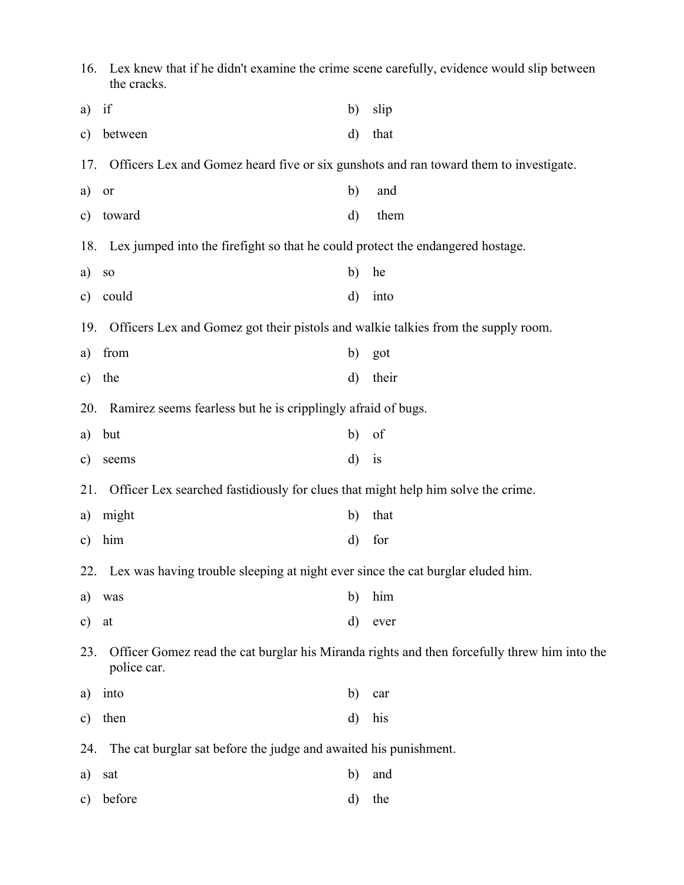| 16.           | Lex knew that if he didn't examine the crime scene carefully, evidence would slip between<br>the cracks. |              |                                                                                              |  |  |  |
|---------------|----------------------------------------------------------------------------------------------------------|--------------|----------------------------------------------------------------------------------------------|--|--|--|
| a)            | if                                                                                                       | b)           | slip                                                                                         |  |  |  |
| $\mathbf{c})$ | between                                                                                                  | d)           | that                                                                                         |  |  |  |
| 17.           | Officers Lex and Gomez heard five or six gunshots and ran toward them to investigate.                    |              |                                                                                              |  |  |  |
| a)            | or                                                                                                       | b)           | and                                                                                          |  |  |  |
| $\mathbf{c})$ | toward                                                                                                   | $\rm d)$     | them                                                                                         |  |  |  |
|               | 18. Lex jumped into the firefight so that he could protect the endangered hostage.                       |              |                                                                                              |  |  |  |
| a)            | ${\bf SO}$                                                                                               | b)           | he                                                                                           |  |  |  |
| $\mathbf{c})$ | could                                                                                                    | $\mathbf{d}$ | into                                                                                         |  |  |  |
| 19.           | Officers Lex and Gomez got their pistols and walkie talkies from the supply room.                        |              |                                                                                              |  |  |  |
| a)            | from                                                                                                     | b)           | got                                                                                          |  |  |  |
| $\mathbf{c})$ | the                                                                                                      | d)           | their                                                                                        |  |  |  |
| 20.           | Ramirez seems fearless but he is cripplingly afraid of bugs.                                             |              |                                                                                              |  |  |  |
| a)            | but                                                                                                      | b)           | of                                                                                           |  |  |  |
| $\mathbf{c})$ | seems                                                                                                    | $\mathbf{d}$ | is                                                                                           |  |  |  |
| 21.           | Officer Lex searched fastidiously for clues that might help him solve the crime.                         |              |                                                                                              |  |  |  |
| a)            | might                                                                                                    | b)           | that                                                                                         |  |  |  |
| $\mathbf{c})$ | him                                                                                                      | d)           | for                                                                                          |  |  |  |
|               | 22. Lex was having trouble sleeping at night ever since the cat burglar eluded him.                      |              |                                                                                              |  |  |  |
| a)            | was                                                                                                      | b)           | him                                                                                          |  |  |  |
| $\mathbf{c})$ | at                                                                                                       | d)           | ever                                                                                         |  |  |  |
| 23.           | police car.                                                                                              |              | Officer Gomez read the cat burglar his Miranda rights and then forcefully threw him into the |  |  |  |
| a)            | into                                                                                                     | b)           | car                                                                                          |  |  |  |
| $\mathbf{c})$ | then                                                                                                     | $\rm d)$     | his                                                                                          |  |  |  |
| 24.           | The cat burglar sat before the judge and awaited his punishment.                                         |              |                                                                                              |  |  |  |
| a)            | sat                                                                                                      | b)           | and                                                                                          |  |  |  |
| $\mathbf{c})$ | before                                                                                                   | d)           | the                                                                                          |  |  |  |